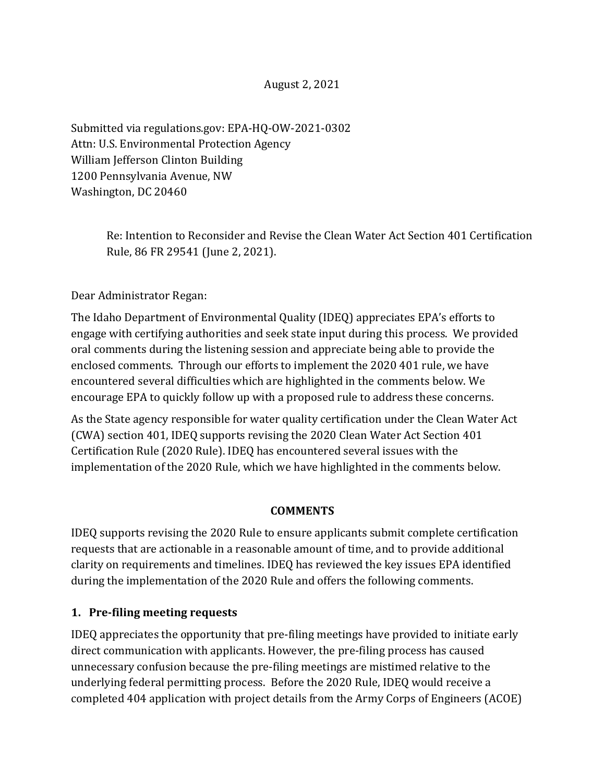### August 2, 2021

Submitted via regulations.gov: EPA-HQ-OW-2021-0302 Attn: U.S. Environmental Protection Agency William Jefferson Clinton Building 1200 Pennsylvania Avenue, NW Washington, DC 20460

> Re: Intention to Reconsider and Revise the Clean Water Act Section 401 Certification Rule, 86 FR 29541 (June 2, 2021).

#### Dear Administrator Regan:

The Idaho Department of Environmental Quality (IDEQ) appreciates EPA's efforts to engage with certifying authorities and seek state input during this process. We provided oral comments during the listening session and appreciate being able to provide the enclosed comments. Through our efforts to implement the 2020 401 rule, we have encountered several difficulties which are highlighted in the comments below. We encourage EPA to quickly follow up with a proposed rule to address these concerns.

As the State agency responsible for water quality certification under the Clean Water Act (CWA) section 401, IDEQ supports revising the 2020 Clean Water Act Section 401 Certification Rule (2020 Rule). IDEQ has encountered several issues with the implementation of the 2020 Rule, which we have highlighted in the comments below.

#### **COMMENTS**

IDEQ supports revising the 2020 Rule to ensure applicants submit complete certification requests that are actionable in a reasonable amount of time, and to provide additional clarity on requirements and timelines. IDEQ has reviewed the key issues EPA identified during the implementation of the 2020 Rule and offers the following comments.

#### **1. Pre-filing meeting requests**

IDEQ appreciates the opportunity that pre-filing meetings have provided to initiate early direct communication with applicants. However, the pre-filing process has caused unnecessary confusion because the pre-filing meetings are mistimed relative to the underlying federal permitting process. Before the 2020 Rule, IDEQ would receive a completed 404 application with project details from the Army Corps of Engineers (ACOE)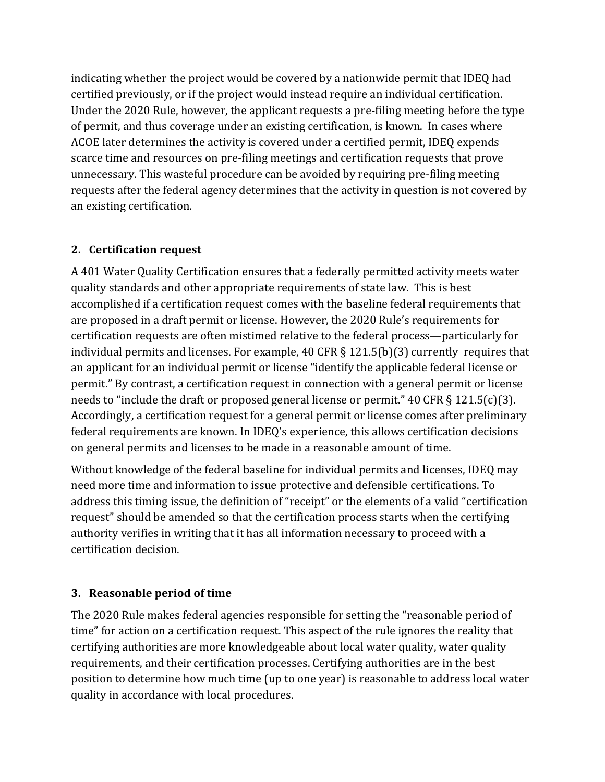indicating whether the project would be covered by a nationwide permit that IDEQ had certified previously, or if the project would instead require an individual certification. Under the 2020 Rule, however, the applicant requests a pre-filing meeting before the type of permit, and thus coverage under an existing certification, is known. In cases where ACOE later determines the activity is covered under a certified permit, IDEQ expends scarce time and resources on pre-filing meetings and certification requests that prove unnecessary. This wasteful procedure can be avoided by requiring pre-filing meeting requests after the federal agency determines that the activity in question is not covered by an existing certification.

## **2. Certification request**

A 401 Water Quality Certification ensures that a federally permitted activity meets water quality standards and other appropriate requirements of state law. This is best accomplished if a certification request comes with the baseline federal requirements that are proposed in a draft permit or license. However, the 2020 Rule's requirements for certification requests are often mistimed relative to the federal process—particularly for individual permits and licenses. For example, 40 CFR § 121.5(b)(3) currently requires that an applicant for an individual permit or license "identify the applicable federal license or permit." By contrast, a certification request in connection with a general permit or license needs to "include the draft or proposed general license or permit." 40 CFR § 121.5(c)(3). Accordingly, a certification request for a general permit or license comes after preliminary federal requirements are known. In IDEQ's experience, this allows certification decisions on general permits and licenses to be made in a reasonable amount of time.

Without knowledge of the federal baseline for individual permits and licenses, IDEQ may need more time and information to issue protective and defensible certifications. To address this timing issue, the definition of "receipt" or the elements of a valid "certification request" should be amended so that the certification process starts when the certifying authority verifies in writing that it has all information necessary to proceed with a certification decision.

## **3. Reasonable period of time**

The 2020 Rule makes federal agencies responsible for setting the "reasonable period of time" for action on a certification request. This aspect of the rule ignores the reality that certifying authorities are more knowledgeable about local water quality, water quality requirements, and their certification processes. Certifying authorities are in the best position to determine how much time (up to one year) is reasonable to address local water quality in accordance with local procedures.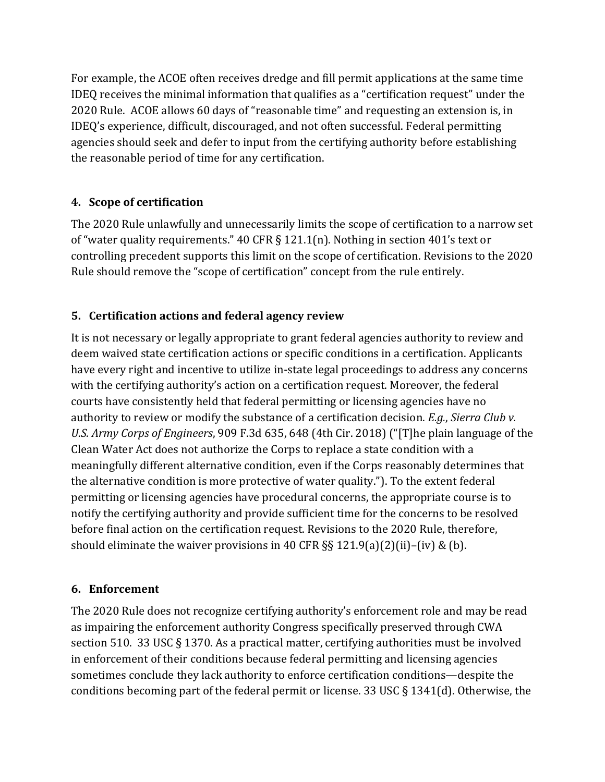For example, the ACOE often receives dredge and fill permit applications at the same time IDEQ receives the minimal information that qualifies as a "certification request" under the 2020 Rule. ACOE allows 60 days of "reasonable time" and requesting an extension is, in IDEQ's experience, difficult, discouraged, and not often successful. Federal permitting agencies should seek and defer to input from the certifying authority before establishing the reasonable period of time for any certification.

# **4. Scope of certification**

The 2020 Rule unlawfully and unnecessarily limits the scope of certification to a narrow set of "water quality requirements." 40 CFR § 121.1(n). Nothing in section 401's text or controlling precedent supports this limit on the scope of certification. Revisions to the 2020 Rule should remove the "scope of certification" concept from the rule entirely.

## **5. Certification actions and federal agency review**

It is not necessary or legally appropriate to grant federal agencies authority to review and deem waived state certification actions or specific conditions in a certification. Applicants have every right and incentive to utilize in-state legal proceedings to address any concerns with the certifying authority's action on a certification request. Moreover, the federal courts have consistently held that federal permitting or licensing agencies have no authority to review or modify the substance of a certification decision. *E.g.*, *Sierra Club v. U.S. Army Corps of Engineers*, 909 F.3d 635, 648 (4th Cir. 2018) ("[T]he plain language of the Clean Water Act does not authorize the Corps to replace a state condition with a meaningfully different alternative condition, even if the Corps reasonably determines that the alternative condition is more protective of water quality."). To the extent federal permitting or licensing agencies have procedural concerns, the appropriate course is to notify the certifying authority and provide sufficient time for the concerns to be resolved before final action on the certification request. Revisions to the 2020 Rule, therefore, should eliminate the waiver provisions in 40 CFR §§ 121.9(a)(2)(ii)–(iv) & (b).

## **6. Enforcement**

The 2020 Rule does not recognize certifying authority's enforcement role and may be read as impairing the enforcement authority Congress specifically preserved through CWA section 510. 33 USC § 1370. As a practical matter, certifying authorities must be involved in enforcement of their conditions because federal permitting and licensing agencies sometimes conclude they lack authority to enforce certification conditions—despite the conditions becoming part of the federal permit or license. 33 USC § 1341(d). Otherwise, the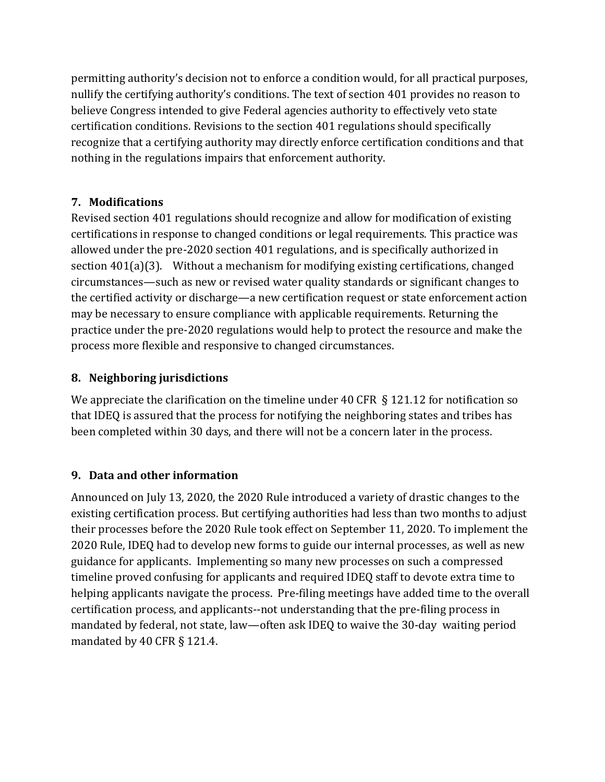permitting authority's decision not to enforce a condition would, for all practical purposes, nullify the certifying authority's conditions. The text of section 401 provides no reason to believe Congress intended to give Federal agencies authority to effectively veto state certification conditions. Revisions to the section 401 regulations should specifically recognize that a certifying authority may directly enforce certification conditions and that nothing in the regulations impairs that enforcement authority.

## **7. Modifications**

Revised section 401 regulations should recognize and allow for modification of existing certifications in response to changed conditions or legal requirements. This practice was allowed under the pre-2020 section 401 regulations, and is specifically authorized in section 401(a)(3). Without a mechanism for modifying existing certifications, changed circumstances—such as new or revised water quality standards or significant changes to the certified activity or discharge—a new certification request or state enforcement action may be necessary to ensure compliance with applicable requirements. Returning the practice under the pre-2020 regulations would help to protect the resource and make the process more flexible and responsive to changed circumstances.

## **8. Neighboring jurisdictions**

We appreciate the clarification on the timeline under 40 CFR § 121.12 for notification so that IDEQ is assured that the process for notifying the neighboring states and tribes has been completed within 30 days, and there will not be a concern later in the process.

# **9. Data and other information**

Announced on July 13, 2020, the 2020 Rule introduced a variety of drastic changes to the existing certification process. But certifying authorities had less than two months to adjust their processes before the 2020 Rule took effect on September 11, 2020. To implement the 2020 Rule, IDEQ had to develop new forms to guide our internal processes, as well as new guidance for applicants. Implementing so many new processes on such a compressed timeline proved confusing for applicants and required IDEQ staff to devote extra time to helping applicants navigate the process. Pre-filing meetings have added time to the overall certification process, and applicants--not understanding that the pre-filing process in mandated by federal, not state, law—often ask IDEQ to waive the 30-day waiting period mandated by 40 CFR § 121.4.